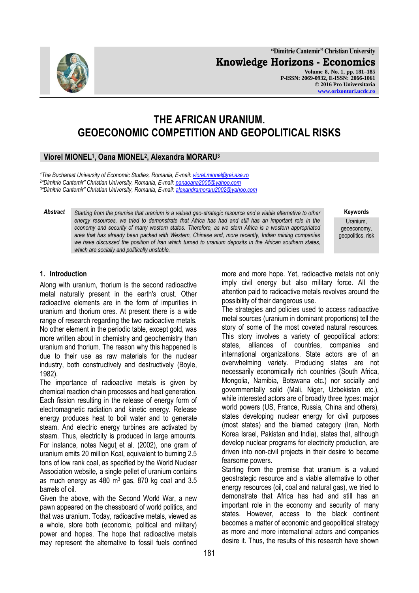**"Dimitrie Cantemir" Christian University Knowledge Horizons - Economics Volume 8, No. 1, pp. 181–185 P-ISSN: 2069-0932, E-ISSN: 2066-1061 © 2016 Pro Universitaria [www.orizonturi.ucdc.ro](http://www.orizonturi.ucdc.ro/)**



## **Viorel MIONEL<sup>1</sup> , Oana MIONEL<sup>2</sup> , Alexandra MORARU<sup>3</sup>**

*<sup>1</sup>The Bucharest University of Economic Studies, Romania, E-mail: [viorel.mionel@rei.ase.ro](mailto:viorel.mionel@rei.ase.ro)* 2 *"Dimitrie Cantemir" Christian University, Romania, E-mail[: panaoana2005@yahoo.com](mailto:panaoana2005@yahoo.com) 3 "Dimitrie Cantemir" Christian University, Romania, E-mail[: alexandramoraru2002@yahoo.com](mailto:alexandramoraru2002@yahoo.com)*

*Abstract Starting from the premise that uranium is a valued geo*-*strategic resource and a viable alternative to other energy resources, we tried to demonstrate that Africa has had and still has an important role in the economy and security of many western states. Therefore, as we stern Africa is a western appropriated area that has already been packed with Western, Chinese and, more recently, Indian mining companies we have discussed the position of Iran which turned to uranium deposits in the African southern states, which are socially and politically unstable.*

geoeconomy, geopolitics, risk

**Keywords** Uranium,

#### **1. Introduction**

Along with uranium, thorium is the second radioactive metal naturally present in the earth's crust. Other radioactive elements are in the form of impurities in uranium and thorium ores. At present there is a wide range of research regarding the two radioactive metals. No other element in the periodic table, except gold, was more written about in chemistry and geochemistry than uranium and thorium. The reason why this happened is due to their use as raw materials for the nuclear industry, both constructively and destructively (Boyle, 1982).

The importance of radioactive metals is given by chemical reaction chain processes and heat generation. Each fission resulting in the release of energy form of electromagnetic radiation and kinetic energy. Release energy produces heat to boil water and to generate steam. And electric energy turbines are activated by steam. Thus, electricity is produced in large amounts. For instance, notes Neguţ et al. (2002), one gram of uranium emits 20 million Kcal, equivalent to burning 2.5 tons of low rank coal, as specified by the World Nuclear Association website, a single pellet of uranium contains as much energy as  $480 \text{ m}^3$  gas,  $870 \text{ kg}$  coal and  $3.5 \text{ m}$ barrels of oil.

Given the above, with the Second World War, a new pawn appeared on the chessboard of world politics, and that was uranium. Today, radioactive metals, viewed as a whole, store both (economic, political and military) power and hopes. The hope that radioactive metals may represent the alternative to fossil fuels confined more and more hope. Yet, radioactive metals not only imply civil energy but also military force. All the attention paid to radioactive metals revolves around the possibility of their dangerous use.

The strategies and policies used to access radioactive metal sources (uranium in dominant proportions) tell the story of some of the most coveted natural resources. This story involves a variety of geopolitical actors: states, alliances of countries, companies and international organizations. State actors are of an overwhelming variety. Producing states are not necessarily economically rich countries (South Africa, Mongolia, Namibia, Botswana etc.) nor socially and governmentally solid (Mali, Niger, Uzbekistan etc.), while interested actors are of broadly three types: major world powers (US, France, Russia, China and others), states developing nuclear energy for civil purposes (most states) and the blamed category (Iran, North Korea Israel, Pakistan and India), states that, although develop nuclear programs for electricity production, are driven into non-civil projects in their desire to become fearsome powers.

Starting from the premise that uranium is a valued geostrategic resource and a viable alternative to other energy resources (oil, coal and natural gas), we tried to demonstrate that Africa has had and still has an important role in the economy and security of many states. However, access to the black continent becomes a matter of economic and geopolitical strategy as more and more international actors and companies desire it. Thus, the results of this research have shown

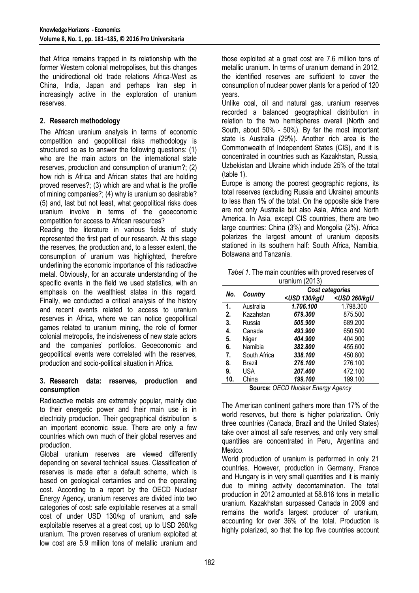that Africa remains trapped in its relationship with the former Western colonial metropolises, but this changes the unidirectional old trade relations Africa-West as China, India, Japan and perhaps Iran step in increasingly active in the exploration of uranium reserves.

# **2. Research methodology**

The African uranium analysis in terms of economic competition and geopolitical risks methodology is structured so as to answer the following questions: (1) who are the main actors on the international state reserves, production and consumption of uranium?; (2) how rich is Africa and African states that are holding proved reserves?; (3) which are and what is the profile of mining companies?; (4) why is uranium so desirable? (5) and, last but not least, what geopolitical risks does uranium involve in terms of the geoeconomic competition for access to African resources?

Reading the literature in various fields of study represented the first part of our research. At this stage the reserves, the production and, to a lesser extent, the consumption of uranium was highlighted, therefore underlining the economic importance of this radioactive metal. Obviously, for an accurate understanding of the specific events in the field we used statistics, with an emphasis on the wealthiest states in this regard. Finally, we conducted a critical analysis of the history and recent events related to access to uranium reserves in Africa, where we can notice geopolitical games related to uranium mining, the role of former colonial metropolis, the incisiveness of new state actors and the companies' portfolios. Geoeconomic and geopolitical events were correlated with the reserves, production and socio-political situation in Africa.

#### **3. Research data: reserves, production and consumption**

Radioactive metals are extremely popular, mainly due to their energetic power and their main use is in electricity production. Their geographical distribution is an important economic issue. There are only a few countries which own much of their global reserves and production.

Global uranium reserves are viewed differently depending on several technical issues. Classification of reserves is made after a default scheme, which is based on geological certainties and on the operating cost. According to a report by the OECD Nuclear Energy Agency, uranium reserves are divided into two categories of cost: safe exploitable reserves at a small cost of under USD 130/kg of uranium, and safe exploitable reserves at a great cost, up to USD 260/kg uranium. The proven reserves of uranium exploited at low cost are 5.9 million tons of metallic uranium and those exploited at a great cost are 7.6 million tons of metallic uranium. In terms of uranium demand in 2012, the identified reserves are sufficient to cover the consumption of nuclear power plants for a period of 120 years.

Unlike coal, oil and natural gas, uranium reserves recorded a balanced geographical distribution in relation to the two hemispheres overall (North and South, about 50% - 50%). By far the most important state is Australia (29%). Another rich area is the Commonwealth of Independent States (CIS), and it is concentrated in countries such as Kazakhstan, Russia, Uzbekistan and Ukraine which include 25% of the total (table 1).

Europe is among the poorest geographic regions, its total reserves (excluding Russia and Ukraine) amounts to less than 1% of the total. On the opposite side there are not only Australia but also Asia, Africa and North America. In Asia, except CIS countries, there are two large countries: China (3%) and Mongolia (2%). Africa polarizes the largest amount of uranium deposits stationed in its southern half: South Africa, Namibia, Botswana and Tanzania.

|                  |  |  |  |  | Tabel 1. The main countries with proved reserves of |
|------------------|--|--|--|--|-----------------------------------------------------|
| uranium $(2013)$ |  |  |  |  |                                                     |

| No.                    | Country      | Cost categories                                                           |                                  |  |  |  |
|------------------------|--------------|---------------------------------------------------------------------------|----------------------------------|--|--|--|
|                        |              | <usd 130="" kgu<="" th=""><th><usd 260="" kgu<="" th=""></usd></th></usd> | <usd 260="" kgu<="" th=""></usd> |  |  |  |
| 1.                     | Australia    | 1.706.100                                                                 | 1.798.300                        |  |  |  |
| 2.                     | Kazahstan    | 679.300                                                                   | 875.500                          |  |  |  |
| 3.                     | Russia       | 505.900                                                                   | 689.200                          |  |  |  |
| 4.                     | Canada       | 493.900                                                                   | 650.500                          |  |  |  |
| 5.                     | Niger        | 404.900                                                                   | 404.900                          |  |  |  |
| 6.                     | Namibia      | 382.800                                                                   | 455.600                          |  |  |  |
| 7.                     | South Africa | 338.100                                                                   | 450.800                          |  |  |  |
| 8.                     | Brazil       | 276.100                                                                   | 276.100                          |  |  |  |
| 9.                     | USA          | 207.400                                                                   | 472.100                          |  |  |  |
| 10.                    | China        | 199.100                                                                   | 199.100                          |  |  |  |
| -<br>.<br>$\mathbf{A}$ |              |                                                                           |                                  |  |  |  |

**Source:** *OECD Nuclear Energy Agency*

The American continent gathers more than 17% of the world reserves, but there is higher polarization. Only three countries (Canada, Brazil and the United States) take over almost all safe reserves, and only very small quantities are concentrated in Peru, Argentina and Mexico.

World production of uranium is performed in only 21 countries. However, production in Germany, France and Hungary is in very small quantities and it is mainly due to mining activity decontamination. The total production in 2012 amounted at 58.816 tons in metallic uranium. Kazakhstan surpassed Canada in 2009 and remains the world's largest producer of uranium, accounting for over 36% of the total. Production is highly polarized, so that the top five countries account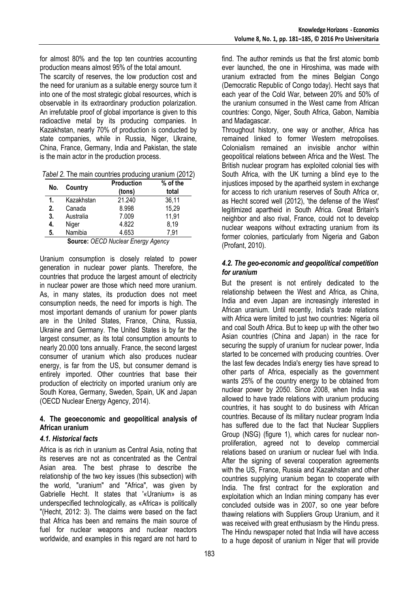for almost 80% and the top ten countries accounting production means almost 95% of the total amount.

The scarcity of reserves, the low production cost and the need for uranium as a suitable energy source turn it into one of the most strategic global resources, which is observable in its extraordinary production polarization. An irrefutable proof of global importance is given to this radioactive metal by its producing companies. In Kazakhstan, nearly 70% of production is conducted by state companies, while in Russia, Niger, Ukraine, China, France, Germany, India and Pakistan, the state is the main actor in the production process.

*Tabel 2.* The main countries producing uranium (2012)

| No. | Country    | Production<br>(tons) | % of the<br>total |
|-----|------------|----------------------|-------------------|
| 1.  | Kazakhstan | 21.240               | 36,11             |
| 2.  | Canada     | 8.998                | 15,29             |
| 3.  | Australia  | 7.009                | 11,91             |
| 4.  | Niger      | 4.822                | 8,19              |
| 5.  | Namibia    | 4.653                | 7.91              |

**Source:** *OECD Nuclear Energy Agency*

Uranium consumption is closely related to power generation in nuclear power plants. Therefore, the countries that produce the largest amount of electricity in nuclear power are those which need more uranium. As, in many states, its production does not meet consumption needs, the need for imports is high. The most important demands of uranium for power plants are in the United States, France, China, Russia, Ukraine and Germany. The United States is by far the largest consumer, as its total consumption amounts to nearly 20.000 tons annually. France, the second largest consumer of uranium which also produces nuclear energy, is far from the US, but consumer demand is entirely imported. Other countries that base their production of electricity on imported uranium only are South Korea, Germany, Sweden, Spain, UK and Japan (OECD Nuclear Energy Agency, 2014).

## **4. The geoeconomic and geopolitical analysis of African uranium**

# *4.1. Historical facts*

Africa is as rich in uranium as Central Asia, noting that its reserves are not as concentrated as the Central Asian area. The best phrase to describe the relationship of the two key issues (this subsection) with the world, "uranium" and "Africa", was given by Gabrielle Hecht. It states that '«Uranium» is as underspecified technologically, as «Africa» is politically "(Hecht, 2012: 3). The claims were based on the fact that Africa has been and remains the main source of fuel for nuclear weapons and nuclear reactors worldwide, and examples in this regard are not hard to find. The author reminds us that the first atomic bomb ever launched, the one in Hiroshima, was made with uranium extracted from the mines Belgian Congo (Democratic Republic of Congo today). Hecht says that each year of the Cold War, between 20% and 50% of the uranium consumed in the West came from African countries: Congo, Niger, South Africa, Gabon, Namibia and Madagascar.

Throughout history, one way or another, Africa has remained linked to former Western metropolises. Colonialism remained an invisible anchor within geopolitical relations between Africa and the West. The British nuclear program has exploited colonial ties with South Africa, with the UK turning a blind eye to the injustices imposed by the apartheid system in exchange for access to rich uranium reserves of South Africa or, as Hecht scored well (2012), 'the defense of the West' legitimized apartheid in South Africa. Great Britain's neighbor and also rival, France, could not to develop nuclear weapons without extracting uranium from its former colonies, particularly from Nigeria and Gabon (Profant, 2010).

# *4.2. The geo-economic and geopolitical competition for uranium*

But the present is not entirely dedicated to the relationship between the West and Africa, as China, India and even Japan are increasingly interested in African uranium. Until recently, India's trade relations with Africa were limited to just two countries: Nigeria oil and coal South Africa. But to keep up with the other two Asian countries (China and Japan) in the race for securing the supply of uranium for nuclear power, India started to be concerned with producing countries. Over the last few decades India's energy ties have spread to other parts of Africa, especially as the government wants 25% of the country energy to be obtained from nuclear power by 2050. Since 2008, when India was allowed to have trade relations with uranium producing countries, it has sought to do business with African countries. Because of its military nuclear program India has suffered due to the fact that Nuclear Suppliers Group (NSG) (figure 1), which cares for nuclear nonproliferation, agreed not to develop commercial relations based on uranium or nuclear fuel with India. After the signing of several cooperation agreements with the US, France, Russia and Kazakhstan and other countries supplying uranium began to cooperate with India. The first contract for the exploration and exploitation which an Indian mining company has ever concluded outside was in 2007, so one year before thawing relations with Suppliers Group Uranium, and it was received with great enthusiasm by the Hindu press. The Hindu newspaper noted that India will have access to a huge deposit of uranium in Niger that will provide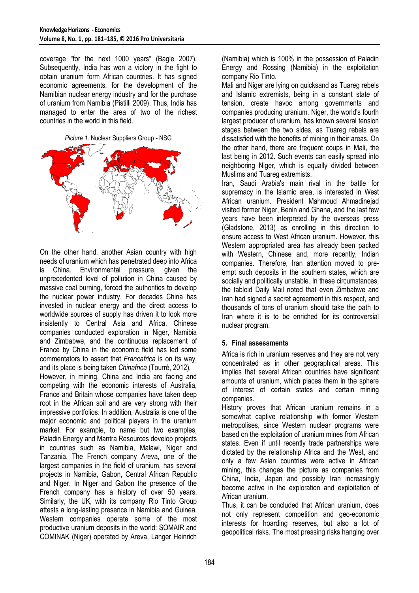coverage "for the next 1000 years" (Bagle 2007). Subsequently, India has won a victory in the fight to obtain uranium form African countries. It has signed economic agreements, for the development of the Namibian nuclear energy industry and for the purchase of uranium from Namibia (Pistilli 2009). Thus, India has managed to enter the area of two of the richest countries in the world in this field.

*Picture 1.* Nuclear Suppliers Group - NSG



On the other hand, another Asian country with high needs of uranium which has penetrated deep into Africa is China. Environmental pressure, given the unprecedented level of pollution in China caused by massive coal burning, forced the authorities to develop the nuclear power industry. For decades China has invested in nuclear energy and the direct access to worldwide sources of supply has driven it to look more insistently to Central Asia and Africa. Chinese companies conducted exploration in Niger, Namibia and Zimbabwe, and the continuous replacement of France by China in the economic field has led some commentators to assert that *Francafrica* is on its way, and its place is being taken *Chinafrica* (Tourré, 2012).

However, in mining, China and India are facing and competing with the economic interests of Australia, France and Britain whose companies have taken deep root in the African soil and are very strong with their impressive portfolios. In addition, Australia is one of the major economic and political players in the uranium market. For example, to name but two examples, Paladin Energy and Mantra Resources develop projects in countries such as Namibia, Malawi, Niger and Tanzania. The French company Areva, one of the largest companies in the field of uranium, has several projects in Namibia, Gabon, Central African Republic and Niger. In Niger and Gabon the presence of the French company has a history of over 50 years. Similarly, the UK, with its company Rio Tinto Group attests a long-lasting presence in Namibia and Guinea. Western companies operate some of the most productive uranium deposits in the world: SOMAIR and COMINAK (Niger) operated by Areva, Langer Heinrich (Namibia) which is 100% in the possession of Paladin Energy and Rossing (Namibia) in the exploitation company Rio Tinto.

Mali and Niger are lying on quicksand as Tuareg rebels and Islamic extremists, being in a constant state of tension, create havoc among governments and companies producing uranium. Niger, the world's fourth largest producer of uranium, has known several tension stages between the two sides, as Tuareg rebels are dissatisfied with the benefits of mining in their areas. On the other hand, there are frequent coups in Mali, the last being in 2012. Such events can easily spread into neighboring Niger, which is equally divided between Muslims and Tuareg extremists.

Iran, Saudi Arabia's main rival in the battle for supremacy in the Islamic area, is interested in West African uranium. President Mahmoud Ahmadinejad visited former Niger, Benin and Ghana, and the last few years have been interpreted by the overseas press (Gladstone, 2013) as enrolling in this direction to ensure access to West African uranium. However, this Western appropriated area has already been packed with Western, Chinese and, more recently, Indian companies. Therefore, Iran attention moved to preempt such deposits in the southern states, which are socially and politically unstable. In these circumstances, the tabloid Daily Mail noted that even Zimbabwe and Iran had signed a secret agreement in this respect, and thousands of tons of uranium should take the path to Iran where it is to be enriched for its controversial nuclear program.

#### **5. Final assessments**

Africa is rich in uranium reserves and they are not very concentrated as in other geographical areas. This implies that several African countries have significant amounts of uranium, which places them in the sphere of interest of certain states and certain mining companies.

History proves that African uranium remains in a somewhat captive relationship with former Western metropolises, since Western nuclear programs were based on the exploitation of uranium mines from African states. Even if until recently trade partnerships were dictated by the relationship Africa and the West, and only a few Asian countries were active in African mining, this changes the picture as companies from China, India, Japan and possibly Iran increasingly become active in the exploration and exploitation of African uranium.

Thus, it can be concluded that African uranium, does not only represent competition and geo-economic interests for hoarding reserves, but also a lot of geopolitical risks. The most pressing risks hanging over